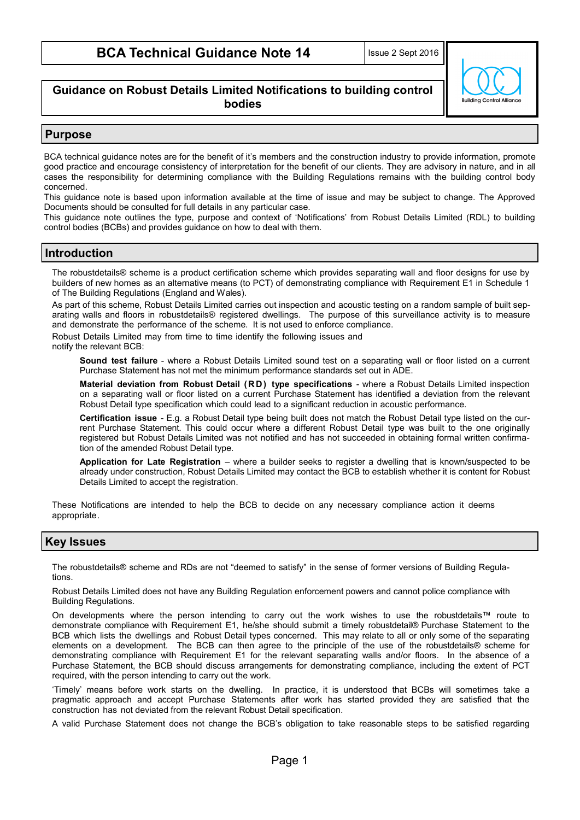### **Guidance on Robust Details Limited Notifications to building control bodies**



#### **Purpose**

BCA technical guidance notes are for the benefit of it's members and the construction industry to provide information, promote good practice and encourage consistency of interpretation for the benefit of our clients. They are advisory in nature, and in all cases the responsibility for determining compliance with the Building Regulations remains with the building control body concerned.

This guidance note is based upon information available at the time of issue and may be subject to change. The Approved Documents should be consulted for full details in any particular case.

This guidance note outlines the type, purpose and context of 'Notifications' from Robust Details Limited (RDL) to building control bodies (BCBs) and provides guidance on how to deal with them.

#### **Introduction**

The robustdetails® scheme is a product certification scheme which provides separating wall and floor designs for use by builders of new homes as an alternative means (to PCT) of demonstrating compliance with Requirement E1 in Schedule 1 of The Building Regulations (England and Wales).

As part of this scheme, Robust Details Limited carries out inspection and acoustic testing on a random sample of built separating walls and floors in robustdetails® registered dwellings. The purpose of this surveillance activity is to measure and demonstrate the performance of the scheme. It is not used to enforce compliance.

Robust Details Limited may from time to time identify the following issues and

notify the relevant BCB:

**Sound test failure** - where a Robust Details Limited sound test on a separating wall or floor listed on a current Purchase Statement has not met the minimum performance standards set out in ADE.

**Material deviation from Robust Detail ( R D ) type specifications** - where a Robust Details Limited inspection on a separating wall or floor listed on a current Purchase Statement has identified a deviation from the relevant Robust Detail type specification which could lead to a significant reduction in acoustic performance.

**Certification issue** - E.g. a Robust Detail type being built does not match the Robust Detail type listed on the current Purchase Statement. This could occur where a different Robust Detail type was built to the one originally registered but Robust Details Limited was not notified and has not succeeded in obtaining formal written confirmation of the amended Robust Detail type.

**Application for Late Registration** – where a builder seeks to register a dwelling that is known/suspected to be already under construction, Robust Details Limited may contact the BCB to establish whether it is content for Robust Details Limited to accept the registration.

These Notifications are intended to help the BCB to decide on any necessary compliance action it deems appropriate.

# **Key Issues**

The robustdetails® scheme and RDs are not "deemed to satisfy" in the sense of former versions of Building Regulations.

Robust Details Limited does not have any Building Regulation enforcement powers and cannot police compliance with Building Regulations.

On developments where the person intending to carry out the work wishes to use the robustdetails™ route to demonstrate compliance with Requirement E1, he/she should submit a timely robustdetail® Purchase Statement to the BCB which lists the dwellings and Robust Detail types concerned. This may relate to all or only some of the separating elements on a development. The BCB can then agree to the principle of the use of the robustdetails® scheme for demonstrating compliance with Requirement E1 for the relevant separating walls and/or floors. In the absence of a Purchase Statement, the BCB should discuss arrangements for demonstrating compliance, including the extent of PCT required, with the person intending to carry out the work.

'Timely' means before work starts on the dwelling. In practice, it is understood that BCBs will sometimes take a pragmatic approach and accept Purchase Statements after work has started provided they are satisfied that the construction has not deviated from the relevant Robust Detail specification.

A valid Purchase Statement does not change the BCB's obligation to take reasonable steps to be satisfied regarding